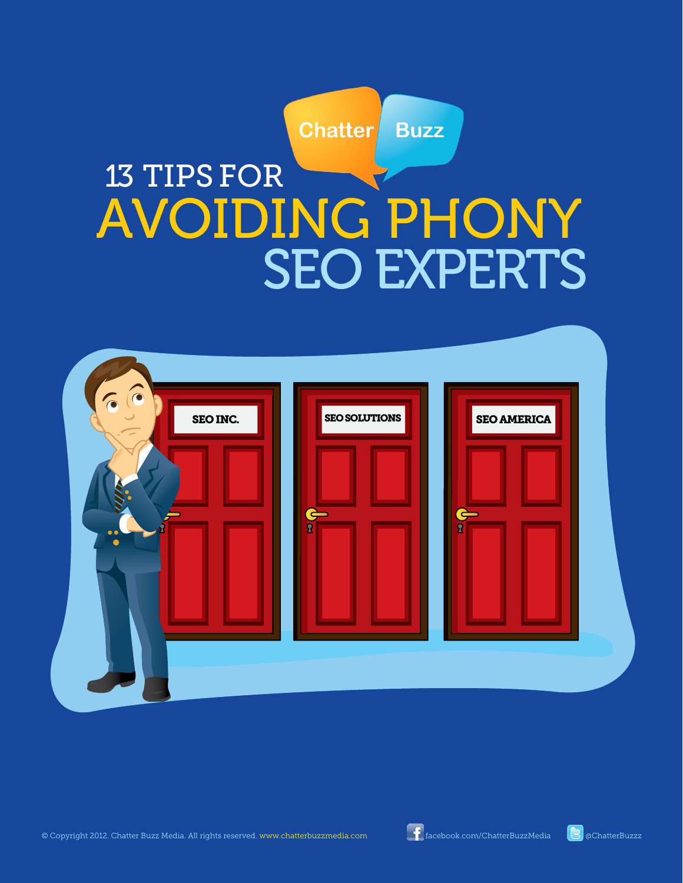

# 13 TIPS FOR AVOIDING PHONY SEO EXPERTS

| $\odot$<br>$\odot$<br>SEO INC.<br>$\bullet$ | <b>SEO SOLUTIONS</b><br>$\frac{1}{\frac{1}{2}}$ | <b>SEO AMERICA</b><br>$\blacklozenge$<br>$\overline{\mathbf{R}}$ |  |
|---------------------------------------------|-------------------------------------------------|------------------------------------------------------------------|--|
|                                             |                                                 |                                                                  |  |

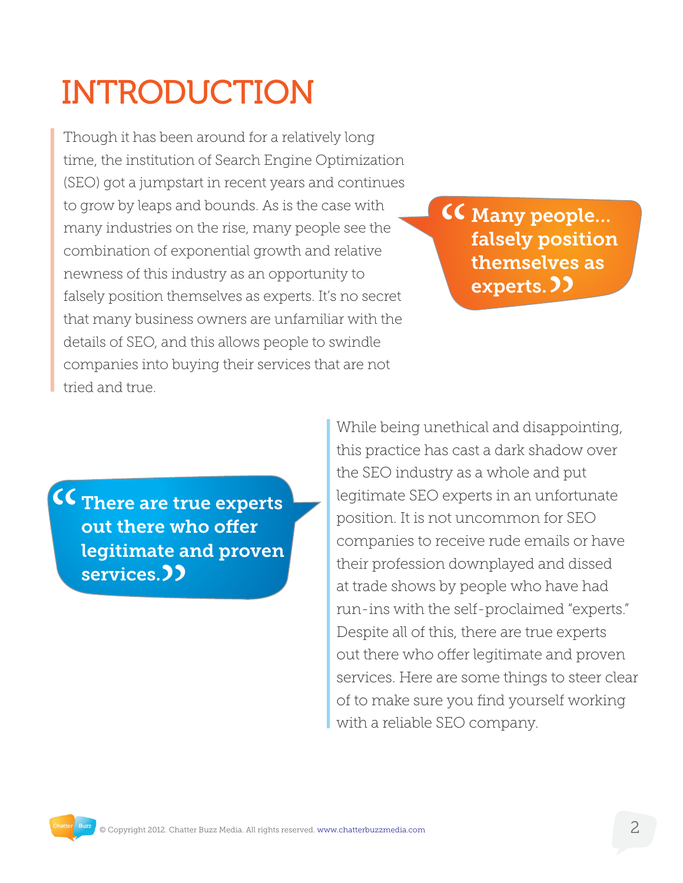# INTRODUCTION

Though it has been around for a relatively long time, the institution of Search Engine Optimization (SEO) got a jumpstart in recent years and continues to grow by leaps and bounds. As is the case with many industries on the rise, many people see the combination of exponential growth and relative newness of this industry as an opportunity to falsely position themselves as experts. It's no secret that many business owners are unfamiliar with the details of SEO, and this allows people to swindle companies into buying their services that are not tried and true.

<sup>"</sup> ves<br>**))** Many people… falsely position themselves as experts.

" te a<br>**33** There are true experts out there who offer legitimate and proven services.

While being unethical and disappointing, this practice has cast a dark shadow over the SEO industry as a whole and put legitimate SEO experts in an unfortunate position. It is not uncommon for SEO companies to receive rude emails or have their profession downplayed and dissed at trade shows by people who have had run-ins with the self-proclaimed "experts." Despite all of this, there are true experts out there who offer legitimate and proven services. Here are some things to steer clear of to make sure you find yourself working with a reliable SEO company.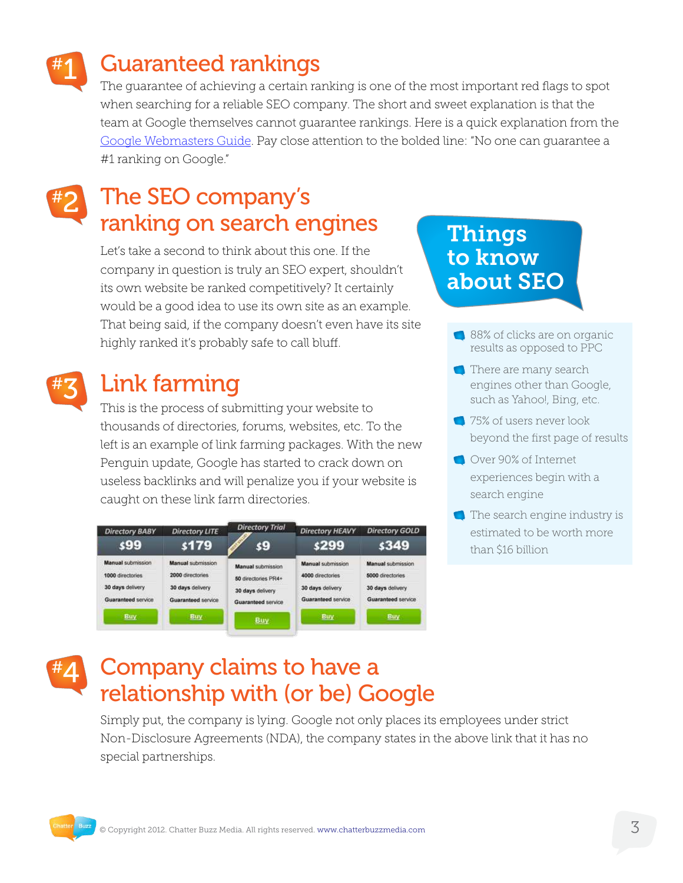

## Guaranteed rankings

The guarantee of achieving a certain ranking is one of the most important red flags to spot when searching for a reliable SEO company. The short and sweet explanation is that the team at Google themselves cannot guarantee rankings. Here is a quick explanation from the [Google Webmasters Guide](http://support.google.com/webmasters/bin/answer.py?hl=en&answer=35291)</u>. Pay close attention to the bolded line: "No one can guarantee a #1 ranking on Google."

#### The SEO company's ranking on search engines #2

Let's take a second to think about this one. If the company in question is truly an SEO expert, shouldn't its own website be ranked competitively? It certainly would be a good idea to use its own site as an example. That being said, if the company doesn't even have its site highly ranked it's probably safe to call bluff.



## Link farming

This is the process of submitting your website to thousands of directories, forums, websites, etc. To the left is an example of link farming packages. With the new Penguin update, Google has started to crack down on useless backlinks and will penalize you if your website is caught on these link farm directories.

| <b>Directory BABY</b><br><b>\$99</b> | <b>Directory LITE</b><br>\$179 | <b>Directory Trial</b><br>\$9 | <b>Directory HEAVY</b><br>\$299 | <b>Directory GOLD</b><br>\$349 |
|--------------------------------------|--------------------------------|-------------------------------|---------------------------------|--------------------------------|
| Manual submission                    | Manual submission              | Manual submission             | <b>Manual submission</b>        | <b>Manual submission</b>       |
| 1000 directories                     | 2000 directories               | 50 directories PR4+           | 4000 directories                | 5000 directories               |
| 30 days delivery                     | 30 days delivery               | 30 days delivery              | 30 days delivery                | 30 days delivery               |
| Guaranteed service                   | Guaranteed service             | Guaranteed service            | Guaranteed service              | Guaranteed service             |
| <b>Buy</b>                           | <b>Buy</b>                     | Buy                           | Buy                             | <b>Buy</b>                     |

### Things to know about SEO

- 88% of clicks are on organic results as opposed to PPC
- There are many search engines other than Google, such as Yahoo!, Bing, etc.
- **1**75% of users never look beyond the first page of results
- Over 90% of Internet experiences begin with a search engine
- The search engine industry is estimated to be worth more than \$16 billion

#### Company claims to have a relationship with (or be) Google #4

Simply put, the company is lying. Google not only places its employees under strict Non-Disclosure Agreements (NDA), the company states in the above link that it has no special partnerships.

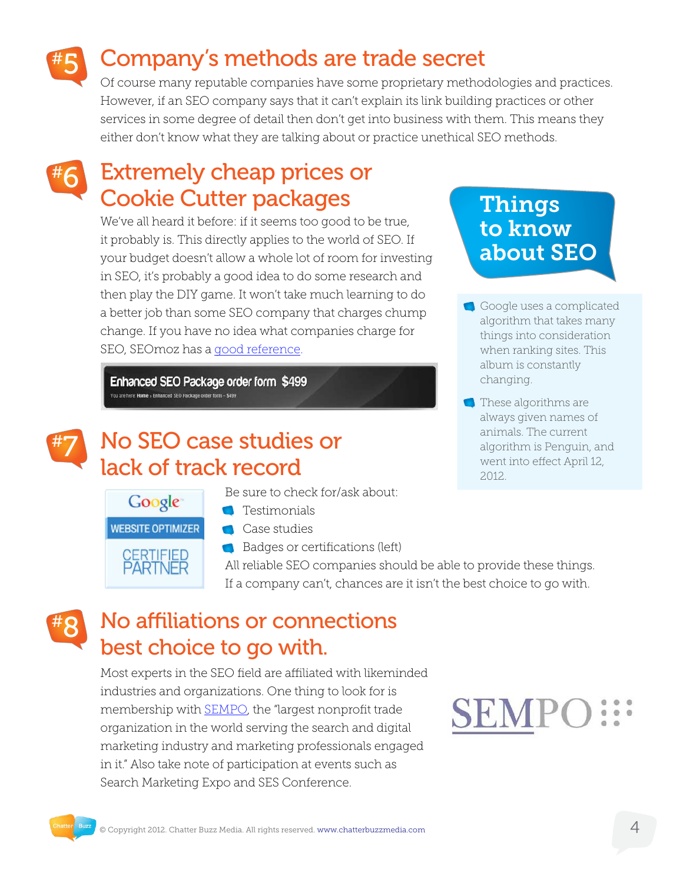## Company's methods are trade secret

Of course many reputable companies have some proprietary methodologies and practices. However, if an SEO company says that it can't explain its link building practices or other services in some degree of detail then don't get into business with them. This means they either don't know what they are talking about or practice unethical SEO methods.

#### Extremely cheap prices or Cookie Cutter packages #6

We've all heard it before: if it seems too good to be true, it probably is. This directly applies to the world of SEO. If your budget doesn't allow a whole lot of room for investing in SEO, it's probably a good idea to do some research and then play the DIY game. It won't take much learning to do a better job than some SEO company that charges chump change. If you have no idea what companies charge for SEO, SEOmoz has a [good reference](http://www.seomoz.org/blog/seo-pricing-costs-of-services?utm_source=feedburner&utm_medium=feed&utm_campaign=Feed%3A+seomoz+%28SEOmoz+Daily+Blog%29&utm_content=Google+Reader).

Enhanced SEO Package order form \$499 You are here: Home > Enhanced SEO Package order form - \$499



### No SEO case studies or lack of track record

Be sure to check for/ask about:

- **Testimonials**
- **WEBSITE OPTIMIZER**

Google

**CERTIFIED PARTNER** 

**Case studies** 

Badges or certifications (left)

All reliable SEO companies should be able to provide these things. If a company can't, chances are it isn't the best choice to go with.

#### No affiliations or connections best choice to go with. #8

Most experts in the SEO field are affiliated with likeminded industries and organizations. One thing to look for is membership with **SEMPO**, the "largest nonprofit trade organization in the world serving the search and digital marketing industry and marketing professionals engaged in it." Also take note of participation at events such as Search Marketing Expo and SES Conference.

### Things to know about SEO

- Google uses a complicated algorithm that takes many things into consideration when ranking sites. This album is constantly changing.
- **These algorithms are** always given names of animals. The current algorithm is Penguin, and went into effect April 12, 2012.

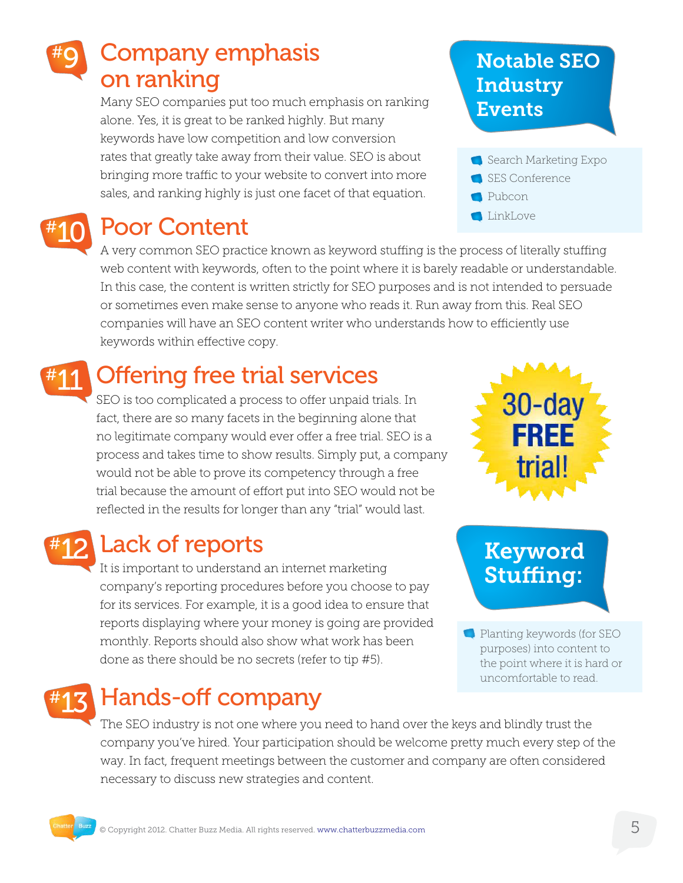#### Company emphasis on ranking #9

Many SEO companies put too much emphasis on ranking alone. Yes, it is great to be ranked highly. But many keywords have low competition and low conversion rates that greatly take away from their value. SEO is about bringing more traffic to your website to convert into more sales, and ranking highly is just one facet of that equation.



## Poor Content

A very common SEO practice known as keyword stuffing is the process of literally stuffing web content with keywords, often to the point where it is barely readable or understandable. In this case, the content is written strictly for SEO purposes and is not intended to persuade or sometimes even make sense to anyone who reads it. Run away from this. Real SEO companies will have an SEO content writer who understands how to efficiently use keywords within effective copy.

## **Offering free trial services**

SEO is too complicated a process to offer unpaid trials. In fact, there are so many facets in the beginning alone that no legitimate company would ever offer a free trial. SEO is a process and takes time to show results. Simply put, a company would not be able to prove its competency through a free trial because the amount of effort put into SEO would not be reflected in the results for longer than any "trial" would last.



## Lack of reports

It is important to understand an internet marketing company's reporting procedures before you choose to pay for its services. For example, it is a good idea to ensure that reports displaying where your money is going are provided monthly. Reports should also show what work has been done as there should be no secrets (refer to tip #5).

## Hands-off company

The SEO industry is not one where you need to hand over the keys and blindly trust the company you've hired. Your participation should be welcome pretty much every step of the way. In fact, frequent meetings between the customer and company are often considered necessary to discuss new strategies and content.

### Notable SEO **Industry** Events





 $30$ -da

Planting keywords (for SEO purposes) into content to the point where it is hard or uncomfortable to read.